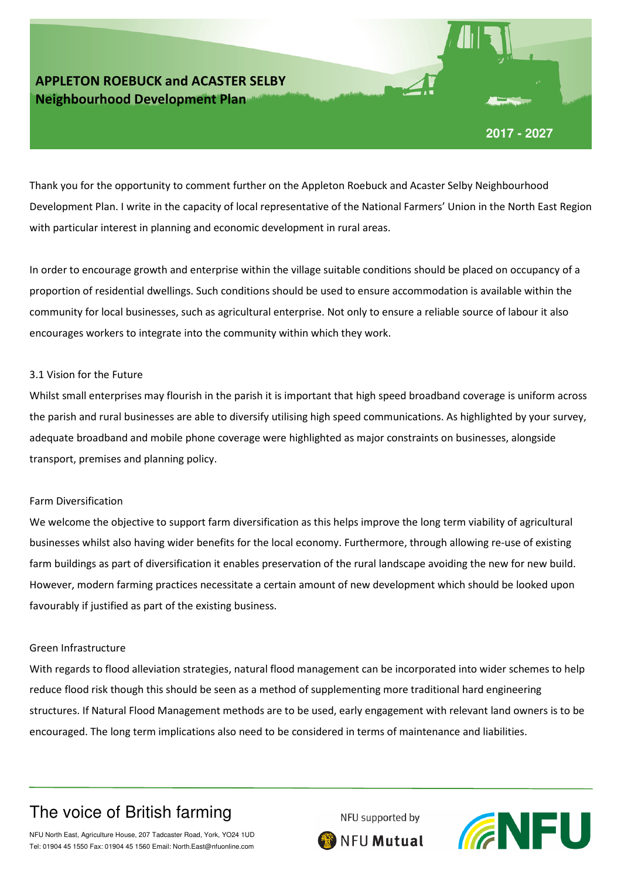

Thank you for the opportunity to comment further on the Appleton Roebuck and Acaster Selby Neighbourhood Development Plan. I write in the capacity of local representative of the National Farmers' Union in the North East Region with particular interest in planning and economic development in rural areas.

In order to encourage growth and enterprise within the village suitable conditions should be placed on occupancy of a proportion of residential dwellings. Such conditions should be used to ensure accommodation is available within the community for local businesses, such as agricultural enterprise. Not only to ensure a reliable source of labour it also encourages workers to integrate into the community within which they work.

### 3.1 Vision for the Future

Whilst small enterprises may flourish in the parish it is important that high speed broadband coverage is uniform across the parish and rural businesses are able to diversify utilising high speed communications. As highlighted by your survey, adequate broadband and mobile phone coverage were highlighted as major constraints on businesses, alongside transport, premises and planning policy.

#### Farm Diversification

We welcome the objective to support farm diversification as this helps improve the long term viability of agricultural businesses whilst also having wider benefits for the local economy. Furthermore, through allowing re-use of existing farm buildings as part of diversification it enables preservation of the rural landscape avoiding the new for new build. However, modern farming practices necessitate a certain amount of new development which should be looked upon favourably if justified as part of the existing business.

### Green Infrastructure

With regards to flood alleviation strategies, natural flood management can be incorporated into wider schemes to help reduce flood risk though this should be seen as a method of supplementing more traditional hard engineering structures. If Natural Flood Management methods are to be used, early engagement with relevant land owners is to be encouraged. The long term implications also need to be considered in terms of maintenance and liabilities.

## The voice of British farming



NFU North East, Agriculture House, 207 Tadcaster Road, York, YO24 1UD Tel: 01904 45 1550 Fax: 01904 45 1560 Email: North.East@nfuonline.com